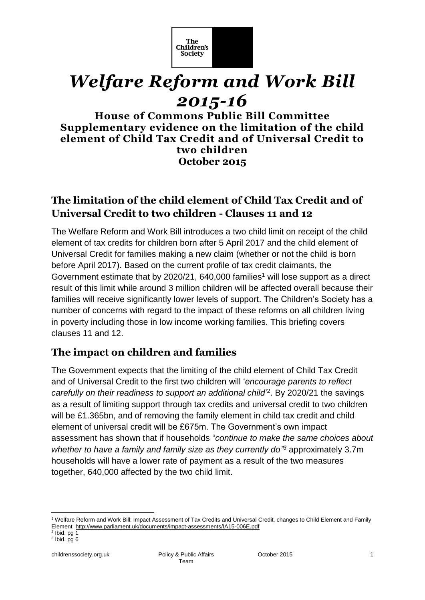

# *Welfare Reform and Work Bill 2015-16*

**House of Commons Public Bill Committee Supplementary evidence on the limitation of the child element of Child Tax Credit and of Universal Credit to two children October 2015**

# **The limitation of the child element of Child Tax Credit and of Universal Credit to two children - Clauses 11 and 12**

The Welfare Reform and Work Bill introduces a two child limit on receipt of the child element of tax credits for children born after 5 April 2017 and the child element of Universal Credit for families making a new claim (whether or not the child is born before April 2017). Based on the current profile of tax credit claimants, the Government estimate that by  $2020/21$ ,  $640,000$  families<sup>1</sup> will lose support as a direct result of this limit while around 3 million children will be affected overall because their families will receive significantly lower levels of support. The Children's Society has a number of concerns with regard to the impact of these reforms on all children living in poverty including those in low income working families. This briefing covers clauses 11 and 12.

# **The impact on children and families**

The Government expects that the limiting of the child element of Child Tax Credit and of Universal Credit to the first two children will '*encourage parents to reflect*  carefully on their readiness to support an additional child<sup>2</sup>. By 2020/21 the savings as a result of limiting support through tax credits and universal credit to two children will be £1.365bn, and of removing the family element in child tax credit and child element of universal credit will be £675m. The Government's own impact assessment has shown that if households "*continue to make the same choices about whether to have a family and family size as they currently do" <sup>3</sup>* approximately 3.7m households will have a lower rate of payment as a result of the two measures together, 640,000 affected by the two child limit.

1

<sup>1</sup> Welfare Reform and Work Bill: Impact Assessment of Tax Credits and Universal Credit, changes to Child Element and Family Element <http://www.parliament.uk/documents/impact-assessments/IA15-006E.pdf>

 $<sup>2</sup>$  lbid. pg 1</sup>

 $3$  lbid. pg 6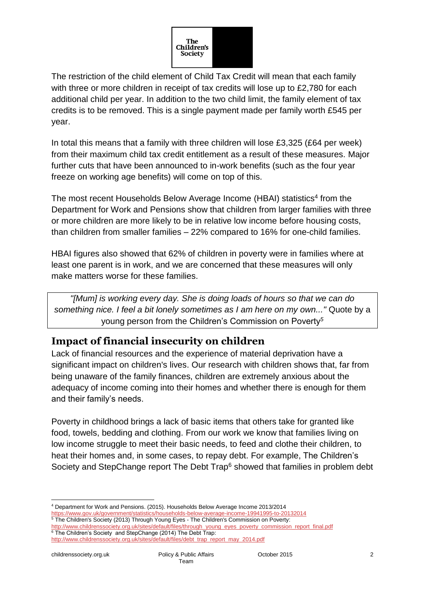

The restriction of the child element of Child Tax Credit will mean that each family with three or more children in receipt of tax credits will lose up to £2,780 for each additional child per year. In addition to the two child limit, the family element of tax credits is to be removed. This is a single payment made per family worth £545 per year.

In total this means that a family with three children will lose  $£3,325$  (£64 per week) from their maximum child tax credit entitlement as a result of these measures. Major further cuts that have been announced to in-work benefits (such as the four year freeze on working age benefits) will come on top of this.

The most recent Households Below Average Income (HBAI) statistics<sup>4</sup> from the Department for Work and Pensions show that children from larger families with three or more children are more likely to be in relative low income before housing costs, than children from smaller families – 22% compared to 16% for one-child families.

HBAI figures also showed that 62% of children in poverty were in families where at least one parent is in work, and we are concerned that these measures will only make matters worse for these families.

*"[Mum] is working every day. She is doing loads of hours so that we can do something nice. I feel a bit lonely sometimes as I am here on my own..."* Quote by a young person from the Children's Commission on Poverty*<sup>5</sup>*

# **Impact of financial insecurity on children**

Lack of financial resources and the experience of material deprivation have a significant impact on children's lives. Our research with children shows that, far from being unaware of the family finances, children are extremely anxious about the adequacy of income coming into their homes and whether there is enough for them and their family's needs.

Poverty in childhood brings a lack of basic items that others take for granted like food, towels, bedding and clothing. From our work we know that families living on low income struggle to meet their basic needs, to feed and clothe their children, to heat their homes and, in some cases, to repay debt. For example, The Children's Society and StepChange report The Debt Trap<sup>6</sup> showed that families in problem debt

<https://www.gov.uk/government/statistics/households-below-average-income-19941995-to-20132014> <sup>5</sup> The Children's Society (2013) Through Young Eyes - The Children's Commission on Poverty:

<sup>1</sup> <sup>4</sup> Department for Work and Pensions. (2015). Households Below Average Income 2013/2014

[http://www.childrenssociety.org.uk/sites/default/files/through\\_young\\_eyes\\_poverty\\_commission\\_report\\_final.pdf](http://www.childrenssociety.org.uk/sites/default/files/through_young_eyes_poverty_commission_report_final.pdf) <sup>6</sup> The Children's Society and StepChange (2014) The Debt Trap:

[http://www.childrenssociety.org.uk/sites/default/files/debt\\_trap\\_report\\_may\\_2014.pdf](http://www.childrenssociety.org.uk/sites/default/files/debt_trap_report_may_2014.pdf)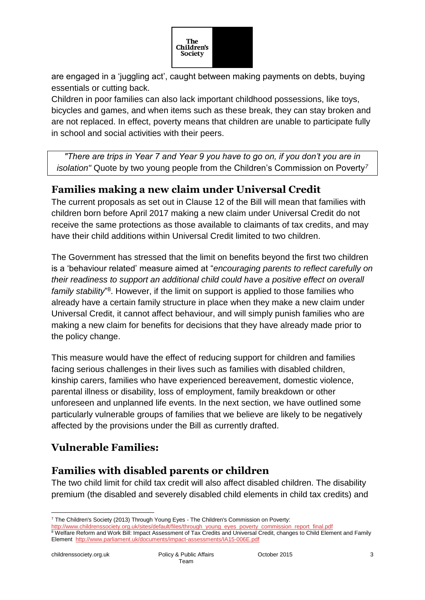

are engaged in a 'juggling act', caught between making payments on debts, buying essentials or cutting back.

Children in poor families can also lack important childhood possessions, like toys, bicycles and games, and when items such as these break, they can stay broken and are not replaced. In effect, poverty means that children are unable to participate fully in school and social activities with their peers.

*"There are trips in Year 7 and Year 9 you have to go on, if you don't you are in isolation"* Quote by two young people from the Children's Commission on Poverty*<sup>7</sup>*

# **Families making a new claim under Universal Credit**

The current proposals as set out in Clause 12 of the Bill will mean that families with children born before April 2017 making a new claim under Universal Credit do not receive the same protections as those available to claimants of tax credits, and may have their child additions within Universal Credit limited to two children.

The Government has stressed that the limit on benefits beyond the first two children is a 'behaviour related' measure aimed at "*encouraging parents to reflect carefully on their readiness to support an additional child could have a positive effect on overall*  family stability<sup>'8</sup>. However, if the limit on support is applied to those families who already have a certain family structure in place when they make a new claim under Universal Credit, it cannot affect behaviour, and will simply punish families who are making a new claim for benefits for decisions that they have already made prior to the policy change.

This measure would have the effect of reducing support for children and families facing serious challenges in their lives such as families with disabled children, kinship carers, families who have experienced bereavement, domestic violence, parental illness or disability, loss of employment, family breakdown or other unforeseen and unplanned life events. In the next section, we have outlined some particularly vulnerable groups of families that we believe are likely to be negatively affected by the provisions under the Bill as currently drafted.

# **Vulnerable Families:**

# **Families with disabled parents or children**

The two child limit for child tax credit will also affect disabled children. The disability premium (the disabled and severely disabled child elements in child tax credits) and

<sup>1</sup> <sup>7</sup> The Children's Society (2013) Through Young Eyes - The Children's Commission on Poverty:

[http://www.childrenssociety.org.uk/sites/default/files/through\\_young\\_eyes\\_poverty\\_commission\\_report\\_final.pdf](http://www.childrenssociety.org.uk/sites/default/files/through_young_eyes_poverty_commission_report_final.pdf) <sup>8</sup> Welfare Reform and Work Bill: Impact Assessment of Tax Credits and Universal Credit, changes to Child Element and Family Element <http://www.parliament.uk/documents/impact-assessments/IA15-006E.pdf>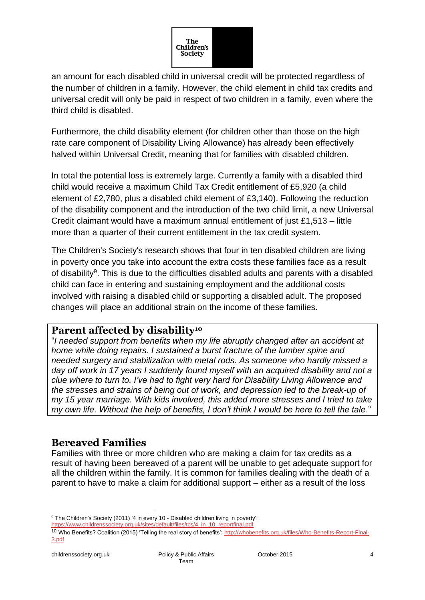

an amount for each disabled child in universal credit will be protected regardless of the number of children in a family. However, the child element in child tax credits and universal credit will only be paid in respect of two children in a family, even where the third child is disabled.

Furthermore, the child disability element (for children other than those on the high rate care component of Disability Living Allowance) has already been effectively halved within Universal Credit, meaning that for families with disabled children.

In total the potential loss is extremely large. Currently a family with a disabled third child would receive a maximum Child Tax Credit entitlement of £5,920 (a child element of £2,780, plus a disabled child element of £3,140). Following the reduction of the disability component and the introduction of the two child limit, a new Universal Credit claimant would have a maximum annual entitlement of just £1,513 – little more than a quarter of their current entitlement in the tax credit system.

The Children's Society's research shows that four in ten disabled children are living in poverty once you take into account the extra costs these families face as a result of disability<sup>9</sup>. This is due to the difficulties disabled adults and parents with a disabled child can face in entering and sustaining employment and the additional costs involved with raising a disabled child or supporting a disabled adult. The proposed changes will place an additional strain on the income of these families.

## **Parent affected by disability<sup>10</sup>**

"*I needed support from benefits when my life abruptly changed after an accident at home while doing repairs. I sustained a burst fracture of the lumber spine and needed surgery and stabilization with metal rods. As someone who hardly missed a day off work in 17 years I suddenly found myself with an acquired disability and not a clue where to turn to. I've had to fight very hard for Disability Living Allowance and the stresses and strains of being out of work, and depression led to the break-up of my 15 year marriage. With kids involved, this added more stresses and I tried to take my own life. Without the help of benefits, I don't think I would be here to tell the tale*."

## **Bereaved Families**

Families with three or more children who are making a claim for tax credits as a result of having been bereaved of a parent will be unable to get adequate support for all the children within the family. It is common for families dealing with the death of a parent to have to make a claim for additional support – either as a result of the loss

1

<sup>&</sup>lt;sup>9</sup> The Children's Society (2011) '4 in every 10 - Disabled children living in poverty':

[https://www.childrenssociety.org.uk/sites/default/files/tcs/4\\_in\\_10\\_reportfinal.pdf](https://www.childrenssociety.org.uk/sites/default/files/tcs/4_in_10_reportfinal.pdf)

<sup>&</sup>lt;sup>10</sup> Who Benefits? Coalition (2015) 'Telling the real story of benefits': [http://whobenefits.org.uk/files/Who-Benefits-Report-Final-](http://whobenefits.org.uk/files/Who-Benefits-Report-Final-3.pdf)[3.pdf](http://whobenefits.org.uk/files/Who-Benefits-Report-Final-3.pdf)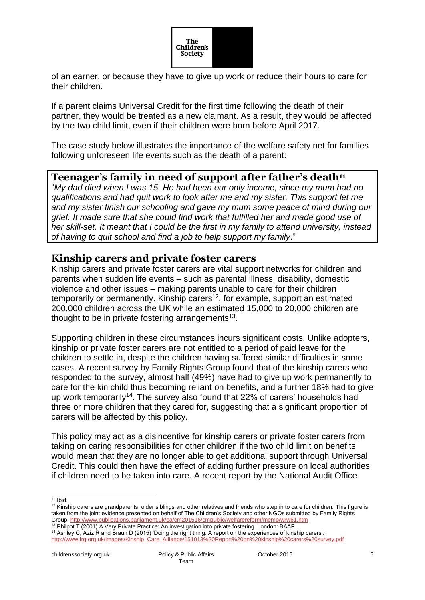

of an earner, or because they have to give up work or reduce their hours to care for their children.

If a parent claims Universal Credit for the first time following the death of their partner, they would be treated as a new claimant. As a result, they would be affected by the two child limit, even if their children were born before April 2017.

The case study below illustrates the importance of the welfare safety net for families following unforeseen life events such as the death of a parent:

### **Teenager's family in need of support after father's death<sup>11</sup>**

"*My dad died when I was 15. He had been our only income, since my mum had no qualifications and had quit work to look after me and my sister. This support let me and my sister finish our schooling and gave my mum some peace of mind during our grief. It made sure that she could find work that fulfilled her and made good use of her skill-set. It meant that I could be the first in my family to attend university, instead of having to quit school and find a job to help support my family*."

## **Kinship carers and private foster carers**

Kinship carers and private foster carers are vital support networks for children and parents when sudden life events – such as parental illness, disability, domestic violence and other issues – making parents unable to care for their children temporarily or permanently. Kinship carers<sup>12</sup>, for example, support an estimated 200,000 children across the UK while an estimated 15,000 to 20,000 children are thought to be in private fostering arrangements $13$ .

Supporting children in these circumstances incurs significant costs. Unlike adopters, kinship or private foster carers are not entitled to a period of paid leave for the children to settle in, despite the children having suffered similar difficulties in some cases. A recent survey by Family Rights Group found that of the kinship carers who responded to the survey, almost half (49%) have had to give up work permanently to care for the kin child thus becoming reliant on benefits, and a further 18% had to give up work temporarily<sup>14</sup>. The survey also found that 22% of carers' households had three or more children that they cared for, suggesting that a significant proportion of carers will be affected by this policy.

This policy may act as a disincentive for kinship carers or private foster carers from taking on caring responsibilities for other children if the two child limit on benefits would mean that they are no longer able to get additional support through Universal Credit. This could then have the effect of adding further pressure on local authorities if children need to be taken into care. A recent report by the National Audit Office

<sup>1</sup>  $11$  Ibid.

<sup>&</sup>lt;sup>12</sup> Kinship carers are grandparents, older siblings and other relatives and friends who step in to care for children. This figure is taken from the joint evidence presented on behalf of The Children's Society and other NGOs submitted by Family Rights Group[: http://www.publications.parliament.uk/pa/cm201516/cmpublic/welfarereform/memo/wrw61.htm](http://www.publications.parliament.uk/pa/cm201516/cmpublic/welfarereform/memo/wrw61.htm)

<sup>&</sup>lt;sup>13</sup> Philpot T (2001) A Very Private Practice: An investigation into private fostering. London: BAAF

<sup>14</sup> Ashley C, Aziz R and Braun D (2015) 'Doing the right thing: A report on the experiences of kinship carers': [http://www.frg.org.uk/images/Kinship\\_Care\\_Alliance/151013%20Report%20on%20kinship%20carers%20survey.pdf](http://www.frg.org.uk/images/Kinship_Care_Alliance/151013%20Report%20on%20kinship%20carers%20survey.pdf)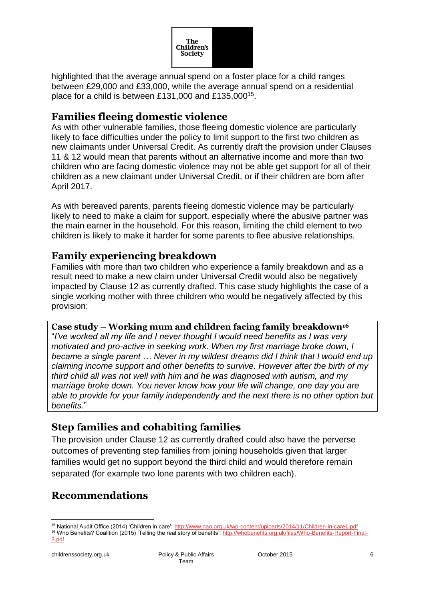

highlighted that the average annual spend on a foster place for a child ranges between £29,000 and £33,000, while the average annual spend on a residential place for a child is between £131,000 and £135,000<sup>15</sup>.

## **Families fleeing domestic violence**

As with other vulnerable families, those fleeing domestic violence are particularly likely to face difficulties under the policy to limit support to the first two children as new claimants under Universal Credit. As currently draft the provision under Clauses 11 & 12 would mean that parents without an alternative income and more than two children who are facing domestic violence may not be able get support for all of their children as a new claimant under Universal Credit, or if their children are born after April 2017.

As with bereaved parents, parents fleeing domestic violence may be particularly likely to need to make a claim for support, especially where the abusive partner was the main earner in the household. For this reason, limiting the child element to two children is likely to make it harder for some parents to flee abusive relationships.

## **Family experiencing breakdown**

Families with more than two children who experience a family breakdown and as a result need to make a new claim under Universal Credit would also be negatively impacted by Clause 12 as currently drafted. This case study highlights the case of a single working mother with three children who would be negatively affected by this provision:

#### **Case study – Working mum and children facing family breakdown<sup>16</sup>**

"*I've worked all my life and I never thought I would need benefits as I was very motivated and pro-active in seeking work. When my first marriage broke down, I became a single parent … Never in my wildest dreams did I think that I would end up claiming income support and other benefits to survive. However after the birth of my third child all was not well with him and he was diagnosed with autism, and my marriage broke down. You never know how your life will change, one day you are able to provide for your family independently and the next there is no other option but benefits*."

## **Step families and cohabiting families**

The provision under Clause 12 as currently drafted could also have the perverse outcomes of preventing step families from joining households given that larger families would get no support beyond the third child and would therefore remain separated (for example two lone parents with two children each).

# **Recommendations**

1

<sup>15</sup> National Audit Office (2014) 'Children in care'[: http://www.nao.org.uk/wp-content/uploads/2014/11/Children-in-care1.pdf](http://www.nao.org.uk/wp-content/uploads/2014/11/Children-in-care1.pdf) 16 Who Benefits? Coalition (2015) 'Telling the real story of benefits': [http://whobenefits.org.uk/files/Who-Benefits-Report-Final-](http://whobenefits.org.uk/files/Who-Benefits-Report-Final-3.pdf)

[<sup>3.</sup>pdf](http://whobenefits.org.uk/files/Who-Benefits-Report-Final-3.pdf)